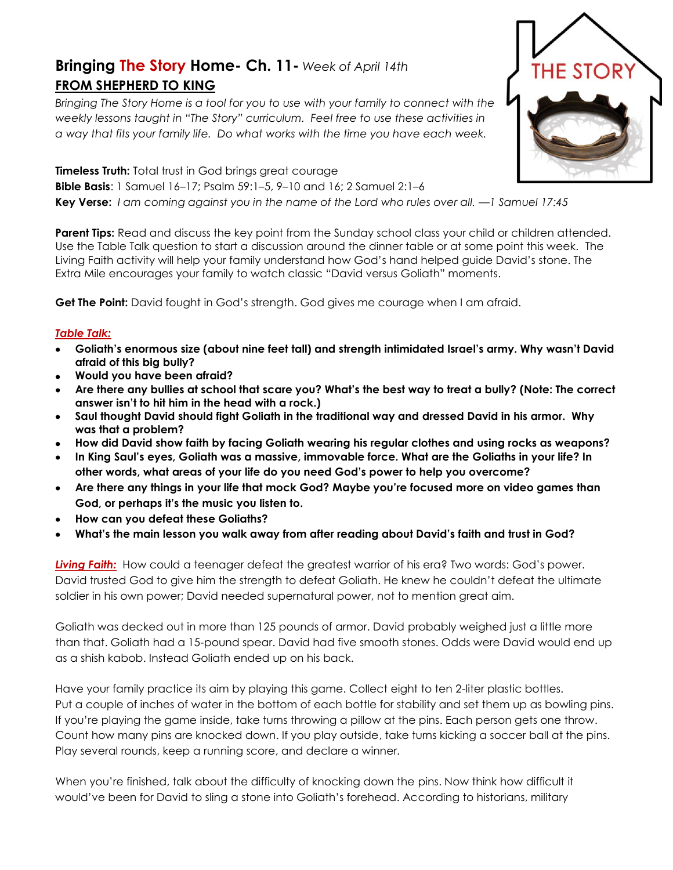## **Bringing The Story Home- Ch. 11-** *Week of April 14th* **FROM SHEPHERD TO KING**

*Bringing The Story Home is a tool for you to use with your family to connect with the weekly lessons taught in "The Story" curriculum. Feel free to use these activities in a way that fits your family life. Do what works with the time you have each week.* 

**Timeless Truth:** Total trust in God brings great courage **Bible Basis**: 1 Samuel 16–17; Psalm 59:1–5, 9–10 and 16; 2 Samuel 2:1–6 **Key Verse:** *I am coming against you in the name of the Lord who rules over all. —1 Samuel 17:45*

**Parent Tips:** Read and discuss the key point from the Sunday school class your child or children attended. Use the Table Talk question to start a discussion around the dinner table or at some point this week. The Living Faith activity will help your family understand how God's hand helped guide David's stone. The Extra Mile encourages your family to watch classic "David versus Goliath" moments.

**Get The Point:** David fought in God's strength. God gives me courage when I am afraid.

## *Table Talk:*

- **Goliath's enormous size (about nine feet tall) and strength intimidated Israel's army. Why wasn't David afraid of this big bully?**
- **Would you have been afraid?**
- **Are there any bullies at school that scare you? What's the best way to treat a bully? (Note: The correct answer isn't to hit him in the head with a rock.)**
- **Saul thought David should fight Goliath in the traditional way and dressed David in his armor. Why was that a problem?**
- **How did David show faith by facing Goliath wearing his regular clothes and using rocks as weapons?**
- **In King Saul's eyes, Goliath was a massive, immovable force. What are the Goliaths in your life? In other words, what areas of your life do you need God's power to help you overcome?**
- **Are there any things in your life that mock God? Maybe you're focused more on video games than God, or perhaps it's the music you listen to.**
- **How can you defeat these Goliaths?**
- **What's the main lesson you walk away from after reading about David's faith and trust in God?**

*Living Faith:* How could a teenager defeat the greatest warrior of his era? Two words: God's power. David trusted God to give him the strength to defeat Goliath. He knew he couldn't defeat the ultimate soldier in his own power; David needed supernatural power, not to mention great aim.

Goliath was decked out in more than 125 pounds of armor. David probably weighed just a little more than that. Goliath had a 15-pound spear. David had five smooth stones. Odds were David would end up as a shish kabob. Instead Goliath ended up on his back.

Have your family practice its aim by playing this game. Collect eight to ten 2-liter plastic bottles. Put a couple of inches of water in the bottom of each bottle for stability and set them up as bowling pins. If you're playing the game inside, take turns throwing a pillow at the pins. Each person gets one throw. Count how many pins are knocked down. If you play outside, take turns kicking a soccer ball at the pins. Play several rounds, keep a running score, and declare a winner.

When you're finished, talk about the difficulty of knocking down the pins. Now think how difficult it would've been for David to sling a stone into Goliath's forehead. According to historians, military